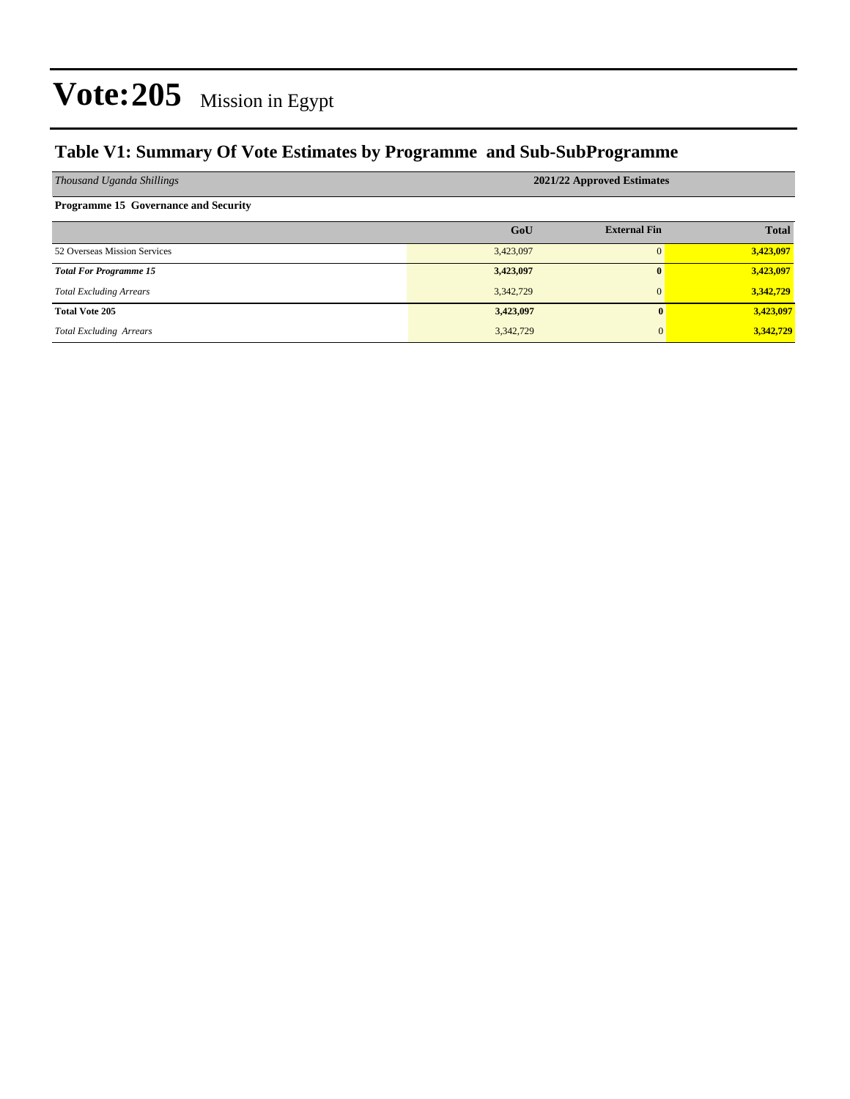#### **Table V1: Summary Of Vote Estimates by Programme and Sub-SubProgramme**

| Thousand Uganda Shillings                   | 2021/22 Approved Estimates |                     |              |  |  |
|---------------------------------------------|----------------------------|---------------------|--------------|--|--|
| <b>Programme 15 Governance and Security</b> |                            |                     |              |  |  |
|                                             | GoU                        | <b>External Fin</b> | <b>Total</b> |  |  |
| 52 Overseas Mission Services                | 3,423,097                  |                     | 3,423,097    |  |  |
| <b>Total For Programme 15</b>               | 3,423,097                  | 0                   | 3,423,097    |  |  |
| <b>Total Excluding Arrears</b>              | 3,342,729                  |                     | 3,342,729    |  |  |
| <b>Total Vote 205</b>                       | 3,423,097                  | $\mathbf{0}$        | 3,423,097    |  |  |
| <b>Total Excluding Arrears</b>              | 3,342,729                  | $\overline{0}$      | 3,342,729    |  |  |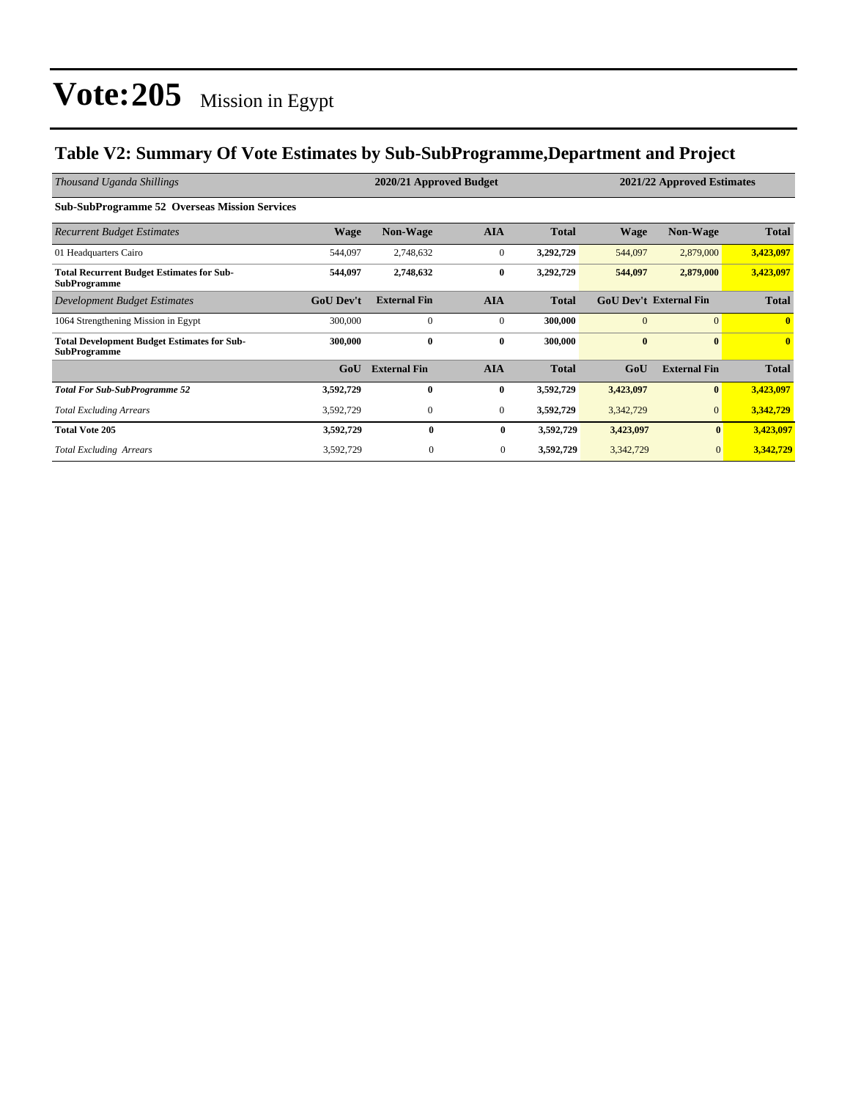#### **Table V2: Summary Of Vote Estimates by Sub-SubProgramme,Department and Project**

| Thousand Uganda Shillings                                                 | 2020/21 Approved Budget |                     |                  |              | 2021/22 Approved Estimates |                               |              |
|---------------------------------------------------------------------------|-------------------------|---------------------|------------------|--------------|----------------------------|-------------------------------|--------------|
| <b>Sub-SubProgramme 52 Overseas Mission Services</b>                      |                         |                     |                  |              |                            |                               |              |
| <b>Recurrent Budget Estimates</b>                                         | Wage                    | <b>Non-Wage</b>     | <b>AIA</b>       | <b>Total</b> | <b>Wage</b>                | <b>Non-Wage</b>               | <b>Total</b> |
| 01 Headquarters Cairo                                                     | 544,097                 | 2,748,632           | $\boldsymbol{0}$ | 3,292,729    | 544,097                    | 2,879,000                     | 3,423,097    |
| <b>Total Recurrent Budget Estimates for Sub-</b><br><b>SubProgramme</b>   | 544,097                 | 2,748,632           | $\bf{0}$         | 3,292,729    | 544,097                    | 2,879,000                     | 3,423,097    |
| Development Budget Estimates                                              | <b>GoU</b> Dev't        | <b>External Fin</b> | <b>AIA</b>       | <b>Total</b> |                            | <b>GoU Dev't External Fin</b> | <b>Total</b> |
| 1064 Strengthening Mission in Egypt                                       | 300,000                 | $\mathbf{0}$        | $\mathbf{0}$     | 300,000      | $\Omega$                   | $\Omega$                      | $\mathbf{0}$ |
| <b>Total Development Budget Estimates for Sub-</b><br><b>SubProgramme</b> | 300,000                 | $\bf{0}$            | $\bf{0}$         | 300,000      | $\bf{0}$                   | $\mathbf{0}$                  | $\mathbf{0}$ |
|                                                                           | GoU                     | <b>External Fin</b> | <b>AIA</b>       | <b>Total</b> | GoU                        | <b>External Fin</b>           | <b>Total</b> |
| <b>Total For Sub-SubProgramme 52</b>                                      | 3,592,729               | $\mathbf{0}$        | $\bf{0}$         | 3,592,729    | 3,423,097                  | $\bf{0}$                      | 3,423,097    |
| <b>Total Excluding Arrears</b>                                            | 3,592,729               | $\mathbf{0}$        | $\mathbf{0}$     | 3,592,729    | 3,342,729                  | $\mathbf{0}$                  | 3,342,729    |
| <b>Total Vote 205</b>                                                     | 3,592,729               | 0                   | $\bf{0}$         | 3,592,729    | 3,423,097                  | $\bf{0}$                      | 3,423,097    |
| <b>Total Excluding Arrears</b>                                            | 3,592,729               | $\boldsymbol{0}$    | $\mathbf{0}$     | 3,592,729    | 3,342,729                  | $\mathbf{0}$                  | 3,342,729    |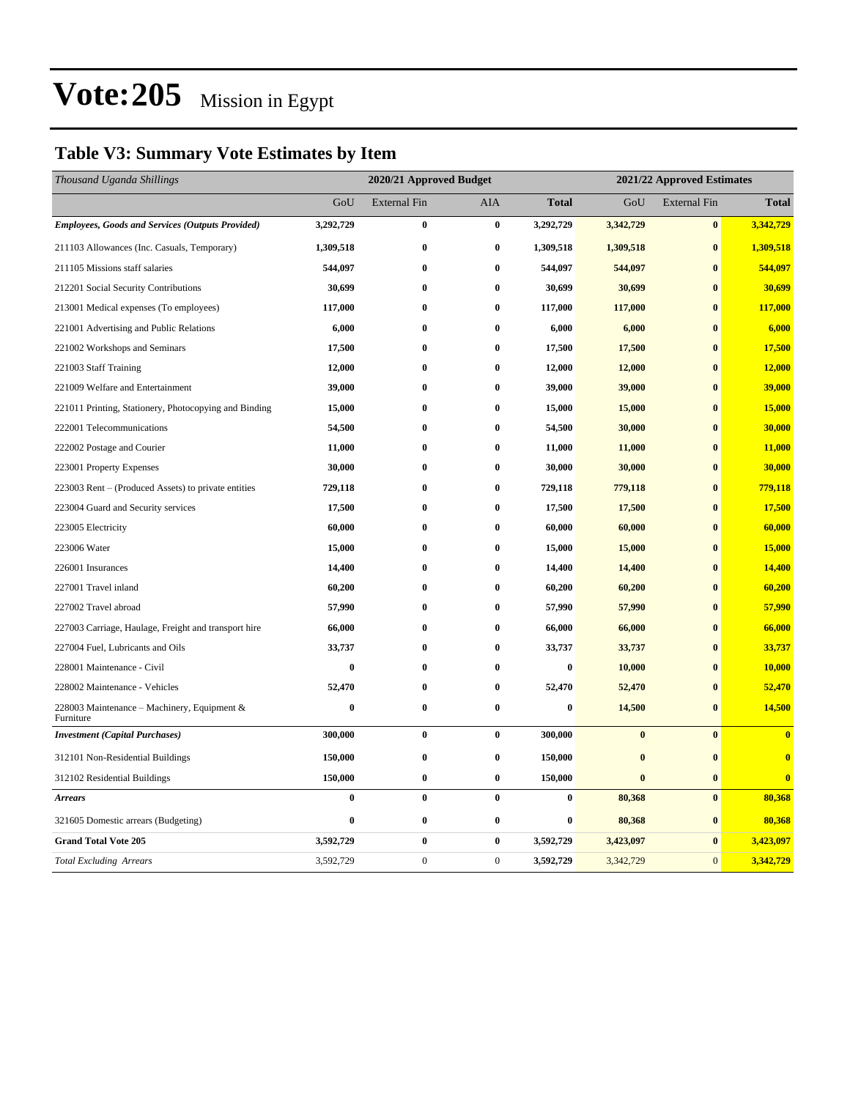### **Table V3: Summary Vote Estimates by Item**

| Thousand Uganda Shillings                                | 2020/21 Approved Budget |                     |              |              | 2021/22 Approved Estimates |                     |                         |  |
|----------------------------------------------------------|-------------------------|---------------------|--------------|--------------|----------------------------|---------------------|-------------------------|--|
|                                                          | GoU                     | <b>External Fin</b> | AIA          | <b>Total</b> | GoU                        | <b>External Fin</b> | <b>Total</b>            |  |
| <b>Employees, Goods and Services (Outputs Provided)</b>  | 3,292,729               | $\bf{0}$            | $\bf{0}$     | 3,292,729    | 3,342,729                  | $\bf{0}$            | 3,342,729               |  |
| 211103 Allowances (Inc. Casuals, Temporary)              | 1,309,518               | $\bf{0}$            | $\bf{0}$     | 1,309,518    | 1,309,518                  | $\bf{0}$            | 1,309,518               |  |
| 211105 Missions staff salaries                           | 544,097                 | $\bf{0}$            | $\bf{0}$     | 544,097      | 544,097                    | $\bf{0}$            | 544,097                 |  |
| 212201 Social Security Contributions                     | 30,699                  | $\bf{0}$            | $\bf{0}$     | 30,699       | 30,699                     | $\bf{0}$            | 30,699                  |  |
| 213001 Medical expenses (To employees)                   | 117,000                 | $\bf{0}$            | $\bf{0}$     | 117,000      | 117,000                    | $\bf{0}$            | 117,000                 |  |
| 221001 Advertising and Public Relations                  | 6,000                   | $\bf{0}$            | $\bf{0}$     | 6,000        | 6,000                      | $\bf{0}$            | 6,000                   |  |
| 221002 Workshops and Seminars                            | 17,500                  | $\bf{0}$            | $\bf{0}$     | 17,500       | 17,500                     | $\bf{0}$            | 17,500                  |  |
| 221003 Staff Training                                    | 12,000                  | $\bf{0}$            | $\bf{0}$     | 12,000       | 12,000                     | $\bf{0}$            | 12,000                  |  |
| 221009 Welfare and Entertainment                         | 39,000                  | $\bf{0}$            | $\bf{0}$     | 39,000       | 39,000                     | $\mathbf{0}$        | 39,000                  |  |
| 221011 Printing, Stationery, Photocopying and Binding    | 15,000                  | $\bf{0}$            | $\bf{0}$     | 15,000       | 15,000                     | $\bf{0}$            | 15,000                  |  |
| 222001 Telecommunications                                | 54,500                  | $\bf{0}$            | $\bf{0}$     | 54,500       | 30,000                     | $\bf{0}$            | 30,000                  |  |
| 222002 Postage and Courier                               | 11,000                  | $\bf{0}$            | $\bf{0}$     | 11,000       | 11,000                     | $\bf{0}$            | 11,000                  |  |
| 223001 Property Expenses                                 | 30,000                  | $\bf{0}$            | $\bf{0}$     | 30,000       | 30,000                     | $\bf{0}$            | 30,000                  |  |
| 223003 Rent – (Produced Assets) to private entities      | 729,118                 | $\bf{0}$            | $\bf{0}$     | 729,118      | 779,118                    | $\bf{0}$            | 779,118                 |  |
| 223004 Guard and Security services                       | 17,500                  | $\bf{0}$            | $\bf{0}$     | 17,500       | 17,500                     | $\bf{0}$            | 17,500                  |  |
| 223005 Electricity                                       | 60,000                  | $\bf{0}$            | $\bf{0}$     | 60,000       | 60,000                     | $\bf{0}$            | 60,000                  |  |
| 223006 Water                                             | 15,000                  | $\bf{0}$            | $\bf{0}$     | 15,000       | 15,000                     | $\bf{0}$            | 15,000                  |  |
| 226001 Insurances                                        | 14,400                  | $\bf{0}$            | $\bf{0}$     | 14,400       | 14,400                     | $\bf{0}$            | 14,400                  |  |
| 227001 Travel inland                                     | 60,200                  | $\bf{0}$            | $\bf{0}$     | 60,200       | 60,200                     | $\bf{0}$            | 60,200                  |  |
| 227002 Travel abroad                                     | 57,990                  | $\bf{0}$            | $\bf{0}$     | 57,990       | 57,990                     | $\bf{0}$            | 57,990                  |  |
| 227003 Carriage, Haulage, Freight and transport hire     | 66,000                  | $\bf{0}$            | $\bf{0}$     | 66,000       | 66,000                     | $\bf{0}$            | 66,000                  |  |
| 227004 Fuel, Lubricants and Oils                         | 33,737                  | $\bf{0}$            | $\bf{0}$     | 33,737       | 33,737                     | $\bf{0}$            | 33,737                  |  |
| 228001 Maintenance - Civil                               | $\bf{0}$                | $\bf{0}$            | $\bf{0}$     | $\bf{0}$     | 10,000                     | $\bf{0}$            | 10,000                  |  |
| 228002 Maintenance - Vehicles                            | 52,470                  | $\bf{0}$            | $\bf{0}$     | 52,470       | 52,470                     | $\bf{0}$            | 52,470                  |  |
| 228003 Maintenance - Machinery, Equipment &<br>Furniture | $\bf{0}$                | $\bf{0}$            | $\bf{0}$     | $\bf{0}$     | 14,500                     | $\bf{0}$            | 14,500                  |  |
| <b>Investment</b> (Capital Purchases)                    | 300,000                 | $\bf{0}$            | $\bf{0}$     | 300,000      | $\bf{0}$                   | $\bf{0}$            | $\overline{\mathbf{0}}$ |  |
| 312101 Non-Residential Buildings                         | 150,000                 | $\pmb{0}$           | $\bf{0}$     | 150,000      | $\bf{0}$                   | $\bf{0}$            | $\bf{0}$                |  |
| 312102 Residential Buildings                             | 150,000                 | $\bf{0}$            | $\bf{0}$     | 150,000      | $\bf{0}$                   | $\bf{0}$            | $\overline{\mathbf{0}}$ |  |
| <b>Arrears</b>                                           | $\bf{0}$                | $\bf{0}$            | $\mathbf{0}$ | $\bf{0}$     | 80,368                     | $\bf{0}$            | 80,368                  |  |
| 321605 Domestic arrears (Budgeting)                      | $\bf{0}$                | $\bf{0}$            | $\bf{0}$     | $\bf{0}$     | 80,368                     | $\bf{0}$            | 80,368                  |  |
| <b>Grand Total Vote 205</b>                              | 3,592,729               | $\bf{0}$            | $\bf{0}$     | 3,592,729    | 3,423,097                  | $\bf{0}$            | 3,423,097               |  |
| <b>Total Excluding Arrears</b>                           | 3,592,729               | $\boldsymbol{0}$    | $\mathbf{0}$ | 3,592,729    | 3,342,729                  | $\boldsymbol{0}$    | 3,342,729               |  |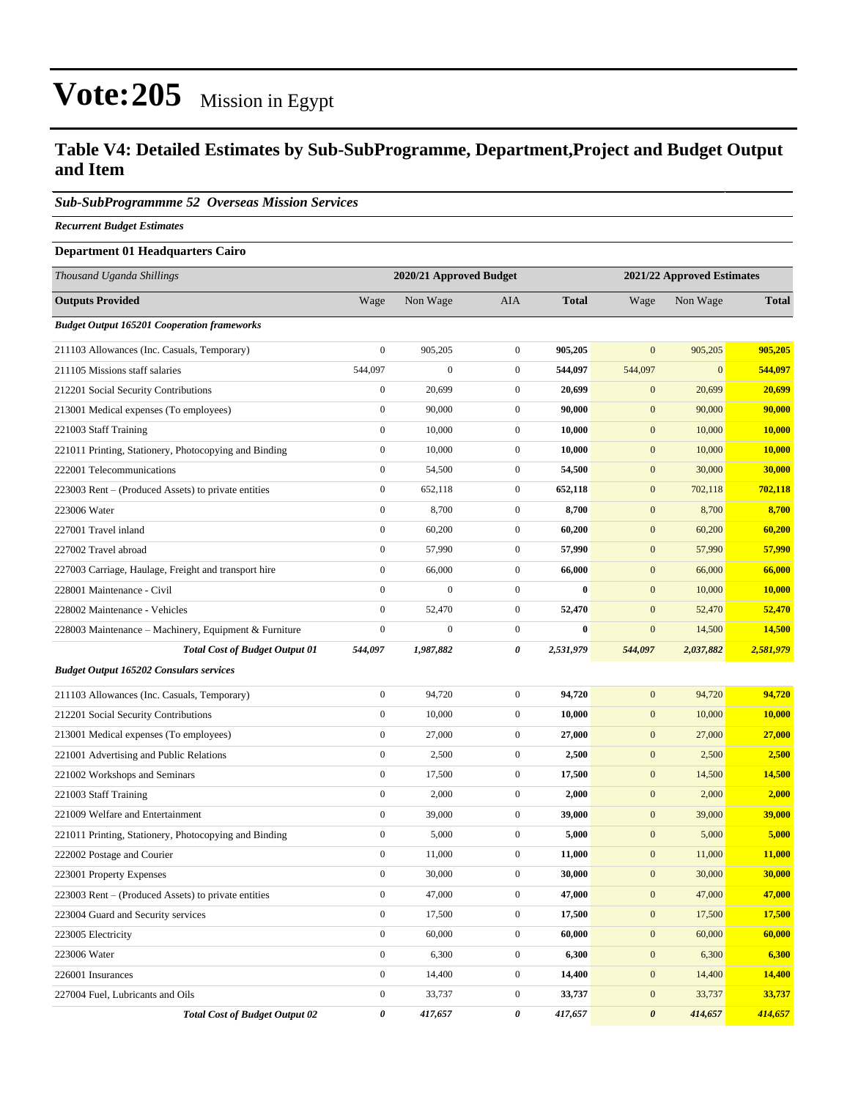#### **Table V4: Detailed Estimates by Sub-SubProgramme, Department,Project and Budget Output and Item**

#### *Sub-SubProgrammme 52 Overseas Mission Services*

*Recurrent Budget Estimates*

#### **Department 01 Headquarters Cairo**

| Thousand Uganda Shillings                             | 2020/21 Approved Budget |                  |                  | 2021/22 Approved Estimates |                       |                  |              |
|-------------------------------------------------------|-------------------------|------------------|------------------|----------------------------|-----------------------|------------------|--------------|
| <b>Outputs Provided</b>                               | Wage                    | Non Wage         | <b>AIA</b>       | <b>Total</b>               | Wage                  | Non Wage         | <b>Total</b> |
| <b>Budget Output 165201 Cooperation frameworks</b>    |                         |                  |                  |                            |                       |                  |              |
| 211103 Allowances (Inc. Casuals, Temporary)           | $\boldsymbol{0}$        | 905,205          | $\boldsymbol{0}$ | 905,205                    | $\mathbf{0}$          | 905,205          | 905,205      |
| 211105 Missions staff salaries                        | 544,097                 | $\boldsymbol{0}$ | $\boldsymbol{0}$ | 544,097                    | 544,097               | $\boldsymbol{0}$ | 544,097      |
| 212201 Social Security Contributions                  | $\boldsymbol{0}$        | 20,699           | $\boldsymbol{0}$ | 20,699                     | $\mathbf{0}$          | 20,699           | 20,699       |
| 213001 Medical expenses (To employees)                | $\boldsymbol{0}$        | 90,000           | $\boldsymbol{0}$ | 90,000                     | $\boldsymbol{0}$      | 90,000           | 90,000       |
| 221003 Staff Training                                 | $\boldsymbol{0}$        | 10,000           | $\boldsymbol{0}$ | 10,000                     | $\boldsymbol{0}$      | 10,000           | 10,000       |
| 221011 Printing, Stationery, Photocopying and Binding | $\boldsymbol{0}$        | 10,000           | $\boldsymbol{0}$ | 10,000                     | $\boldsymbol{0}$      | 10,000           | 10,000       |
| 222001 Telecommunications                             | $\mathbf{0}$            | 54,500           | $\boldsymbol{0}$ | 54,500                     | $\boldsymbol{0}$      | 30,000           | 30,000       |
| 223003 Rent - (Produced Assets) to private entities   | $\boldsymbol{0}$        | 652,118          | $\boldsymbol{0}$ | 652,118                    | $\mathbf{0}$          | 702,118          | 702,118      |
| 223006 Water                                          | $\boldsymbol{0}$        | 8,700            | $\boldsymbol{0}$ | 8,700                      | $\boldsymbol{0}$      | 8,700            | 8,700        |
| 227001 Travel inland                                  | $\boldsymbol{0}$        | 60,200           | $\boldsymbol{0}$ | 60,200                     | $\boldsymbol{0}$      | 60,200           | 60,200       |
| 227002 Travel abroad                                  | $\boldsymbol{0}$        | 57,990           | $\boldsymbol{0}$ | 57,990                     | $\mathbf{0}$          | 57,990           | 57,990       |
| 227003 Carriage, Haulage, Freight and transport hire  | $\boldsymbol{0}$        | 66,000           | $\boldsymbol{0}$ | 66,000                     | $\boldsymbol{0}$      | 66,000           | 66,000       |
| 228001 Maintenance - Civil                            | $\boldsymbol{0}$        | $\boldsymbol{0}$ | $\boldsymbol{0}$ | $\bf{0}$                   | $\mathbf{0}$          | 10,000           | 10,000       |
| 228002 Maintenance - Vehicles                         | $\boldsymbol{0}$        | 52,470           | $\boldsymbol{0}$ | 52,470                     | $\boldsymbol{0}$      | 52,470           | 52,470       |
| 228003 Maintenance - Machinery, Equipment & Furniture | $\boldsymbol{0}$        | $\mathbf{0}$     | $\boldsymbol{0}$ | $\bf{0}$                   | $\mathbf{0}$          | 14,500           | 14,500       |
| <b>Total Cost of Budget Output 01</b>                 | 544,097                 | 1,987,882        | 0                | 2,531,979                  | 544,097               | 2,037,882        | 2,581,979    |
| <b>Budget Output 165202 Consulars services</b>        |                         |                  |                  |                            |                       |                  |              |
| 211103 Allowances (Inc. Casuals, Temporary)           | $\boldsymbol{0}$        | 94,720           | $\boldsymbol{0}$ | 94,720                     | $\mathbf{0}$          | 94,720           | 94,720       |
| 212201 Social Security Contributions                  | $\boldsymbol{0}$        | 10,000           | $\boldsymbol{0}$ | 10,000                     | $\boldsymbol{0}$      | 10,000           | 10,000       |
| 213001 Medical expenses (To employees)                | $\boldsymbol{0}$        | 27,000           | $\boldsymbol{0}$ | 27,000                     | $\boldsymbol{0}$      | 27,000           | 27,000       |
| 221001 Advertising and Public Relations               | $\boldsymbol{0}$        | 2,500            | $\boldsymbol{0}$ | 2,500                      | $\boldsymbol{0}$      | 2,500            | 2,500        |
| 221002 Workshops and Seminars                         | $\boldsymbol{0}$        | 17,500           | $\boldsymbol{0}$ | 17,500                     | $\mathbf{0}$          | 14,500           | 14,500       |
| 221003 Staff Training                                 | $\boldsymbol{0}$        | 2,000            | $\boldsymbol{0}$ | 2,000                      | $\mathbf{0}$          | 2,000            | 2,000        |
| 221009 Welfare and Entertainment                      | $\boldsymbol{0}$        | 39,000           | $\boldsymbol{0}$ | 39,000                     | $\boldsymbol{0}$      | 39,000           | 39,000       |
| 221011 Printing, Stationery, Photocopying and Binding | $\boldsymbol{0}$        | 5,000            | $\boldsymbol{0}$ | 5,000                      | $\boldsymbol{0}$      | 5,000            | 5,000        |
| 222002 Postage and Courier                            | $\boldsymbol{0}$        | 11,000           | $\boldsymbol{0}$ | 11,000                     | $\boldsymbol{0}$      | 11,000           | 11,000       |
| 223001 Property Expenses                              | $\boldsymbol{0}$        | 30,000           | $\boldsymbol{0}$ | 30,000                     | $\mathbf{0}$          | 30,000           | 30,000       |
| 223003 Rent – (Produced Assets) to private entities   | $\boldsymbol{0}$        | 47,000           | $\boldsymbol{0}$ | 47,000                     | $\boldsymbol{0}$      | 47,000           | 47,000       |
| 223004 Guard and Security services                    | $\boldsymbol{0}$        | 17,500           | $\boldsymbol{0}$ | 17,500                     | $\boldsymbol{0}$      | 17,500           | 17,500       |
| 223005 Electricity                                    | $\mathbf{0}$            | 60,000           | $\boldsymbol{0}$ | 60,000                     | $\boldsymbol{0}$      | 60,000           | 60,000       |
| 223006 Water                                          | $\boldsymbol{0}$        | 6,300            | $\boldsymbol{0}$ | 6,300                      | $\mathbf{0}$          | 6,300            | 6,300        |
| 226001 Insurances                                     | $\mathbf{0}$            | 14,400           | $\boldsymbol{0}$ | 14,400                     | $\mathbf{0}$          | 14,400           | 14,400       |
| 227004 Fuel, Lubricants and Oils                      | $\boldsymbol{0}$        | 33,737           | $\boldsymbol{0}$ | 33,737                     | $\boldsymbol{0}$      | 33,737           | 33,737       |
| <b>Total Cost of Budget Output 02</b>                 | 0                       | 417,657          | 0                | 417,657                    | $\boldsymbol{\theta}$ | 414,657          | 414,657      |